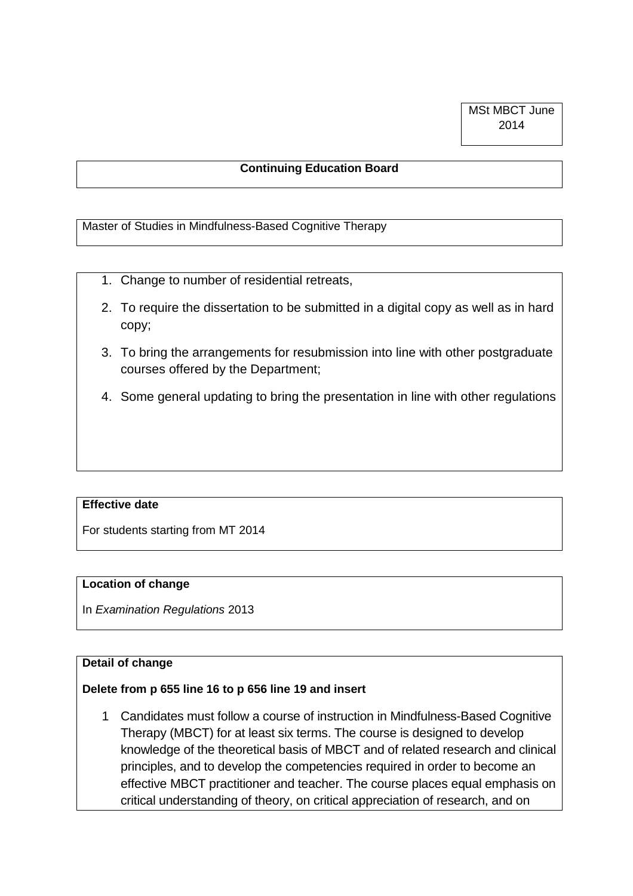## **Continuing Education Board**

Master of Studies in Mindfulness-Based Cognitive Therapy

- 1. Change to number of residential retreats,
- 2. To require the dissertation to be submitted in a digital copy as well as in hard copy;
- 3. To bring the arrangements for resubmission into line with other postgraduate courses offered by the Department;
- 4. Some general updating to bring the presentation in line with other regulations

### **Effective date**

For students starting from MT 2014

### **Location of change**

In *Examination Regulations* 2013

# **Detail of change**

### **Delete from p 655 line 16 to p 656 line 19 and insert**

1 Candidates must follow a course of instruction in Mindfulness-Based Cognitive Therapy (MBCT) for at least six terms. The course is designed to develop knowledge of the theoretical basis of MBCT and of related research and clinical principles, and to develop the competencies required in order to become an effective MBCT practitioner and teacher. The course places equal emphasis on critical understanding of theory, on critical appreciation of research, and on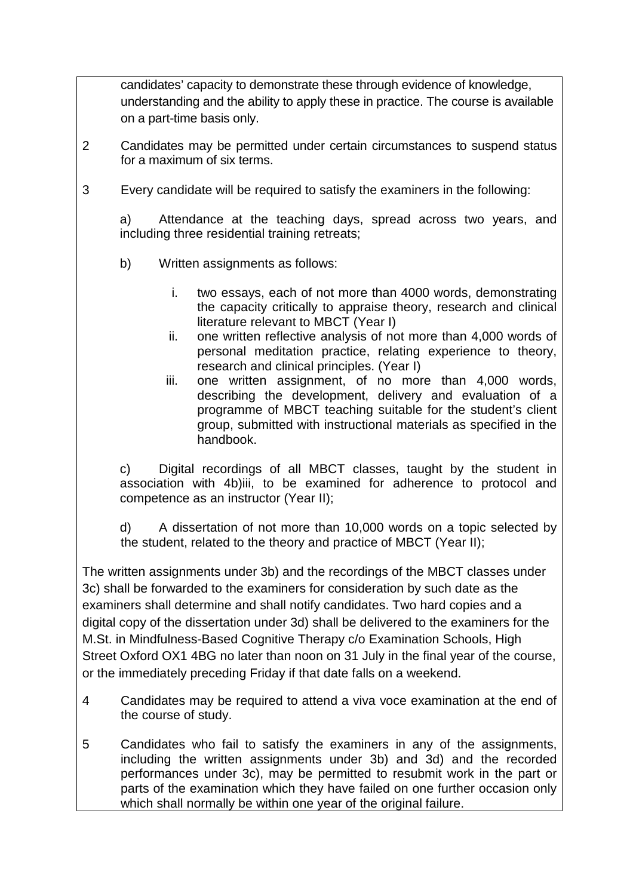candidates' capacity to demonstrate these through evidence of knowledge, understanding and the ability to apply these in practice. The course is available on a part-time basis only.

- 2 Candidates may be permitted under certain circumstances to suspend status for a maximum of six terms.
- 3 Every candidate will be required to satisfy the examiners in the following:

a) Attendance at the teaching days, spread across two years, and including three residential training retreats;

- b) Written assignments as follows:
	- i. two essays, each of not more than 4000 words, demonstrating the capacity critically to appraise theory, research and clinical literature relevant to MBCT (Year I)
	- ii. one written reflective analysis of not more than 4,000 words of personal meditation practice, relating experience to theory, research and clinical principles. (Year I)
	- iii. one written assignment, of no more than 4,000 words, describing the development, delivery and evaluation of a programme of MBCT teaching suitable for the student's client group, submitted with instructional materials as specified in the handbook.

c) Digital recordings of all MBCT classes, taught by the student in association with 4b)iii, to be examined for adherence to protocol and competence as an instructor (Year II);

d) A dissertation of not more than 10,000 words on a topic selected by the student, related to the theory and practice of MBCT (Year II);

The written assignments under 3b) and the recordings of the MBCT classes under 3c) shall be forwarded to the examiners for consideration by such date as the examiners shall determine and shall notify candidates. Two hard copies and a digital copy of the dissertation under 3d) shall be delivered to the examiners for the M.St. in Mindfulness-Based Cognitive Therapy c/o Examination Schools, High Street Oxford OX1 4BG no later than noon on 31 July in the final year of the course, or the immediately preceding Friday if that date falls on a weekend.

- 4 Candidates may be required to attend a viva voce examination at the end of the course of study.
- 5 Candidates who fail to satisfy the examiners in any of the assignments, including the written assignments under 3b) and 3d) and the recorded performances under 3c), may be permitted to resubmit work in the part or parts of the examination which they have failed on one further occasion only which shall normally be within one year of the original failure.